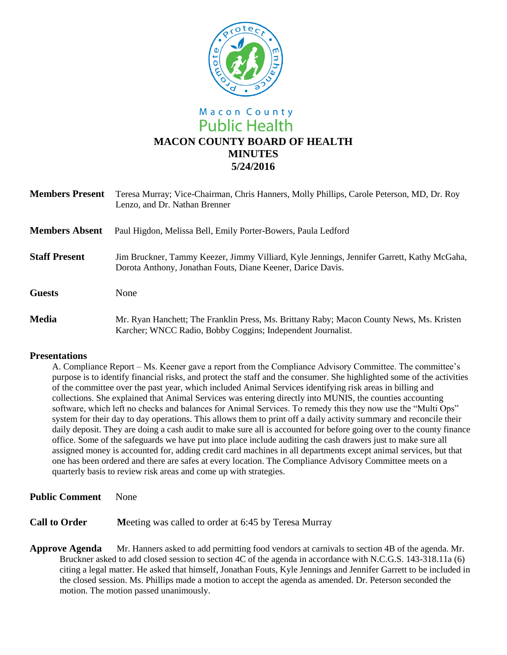

# Macon County **Public Health MACON COUNTY BOARD OF HEALTH MINUTES 5/24/2016**

| <b>Members Present</b> | Teresa Murray; Vice-Chairman, Chris Hanners, Molly Phillips, Carole Peterson, MD, Dr. Roy<br>Lenzo, and Dr. Nathan Brenner                                |
|------------------------|-----------------------------------------------------------------------------------------------------------------------------------------------------------|
| <b>Members Absent</b>  | Paul Higdon, Melissa Bell, Emily Porter-Bowers, Paula Ledford                                                                                             |
| <b>Staff Present</b>   | Jim Bruckner, Tammy Keezer, Jimmy Villiard, Kyle Jennings, Jennifer Garrett, Kathy McGaha,<br>Dorota Anthony, Jonathan Fouts, Diane Keener, Darice Davis. |
| <b>Guests</b>          | None                                                                                                                                                      |
| <b>Media</b>           | Mr. Ryan Hanchett; The Franklin Press, Ms. Brittany Raby; Macon County News, Ms. Kristen<br>Karcher; WNCC Radio, Bobby Coggins; Independent Journalist.   |

#### **Presentations**

A. Compliance Report – Ms. Keener gave a report from the Compliance Advisory Committee. The committee's purpose is to identify financial risks, and protect the staff and the consumer. She highlighted some of the activities of the committee over the past year, which included Animal Services identifying risk areas in billing and collections. She explained that Animal Services was entering directly into MUNIS, the counties accounting software, which left no checks and balances for Animal Services. To remedy this they now use the "Multi Ops" system for their day to day operations. This allows them to print off a daily activity summary and reconcile their daily deposit. They are doing a cash audit to make sure all is accounted for before going over to the county finance office. Some of the safeguards we have put into place include auditing the cash drawers just to make sure all assigned money is accounted for, adding credit card machines in all departments except animal services, but that one has been ordered and there are safes at every location. The Compliance Advisory Committee meets on a quarterly basis to review risk areas and come up with strategies.

- **Public Comment** None
- **Call to Order** Meeting was called to order at 6:45 by Teresa Murray
- **Approve Agenda** Mr. Hanners asked to add permitting food vendors at carnivals to section 4B of the agenda. Mr. Bruckner asked to add closed session to section 4C of the agenda in accordance with N.C.G.S. 143-318.11a (6) citing a legal matter. He asked that himself, Jonathan Fouts, Kyle Jennings and Jennifer Garrett to be included in the closed session. Ms. Phillips made a motion to accept the agenda as amended. Dr. Peterson seconded the motion. The motion passed unanimously.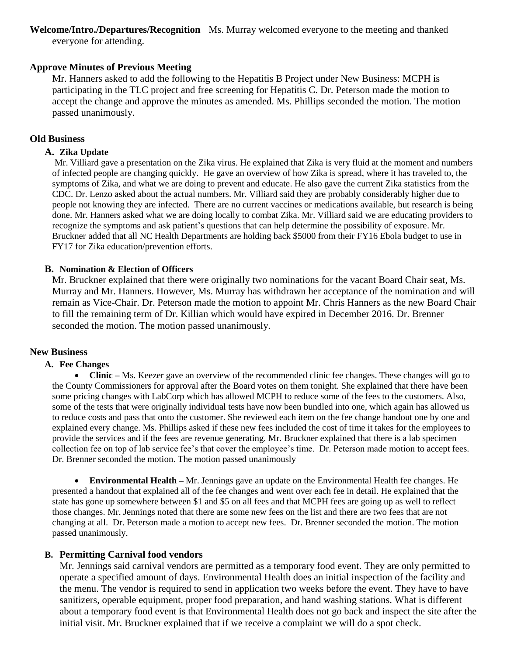**Welcome/Intro./Departures/Recognition** Ms. Murray welcomed everyone to the meeting and thanked everyone for attending.

# **Approve Minutes of Previous Meeting**

Mr. Hanners asked to add the following to the Hepatitis B Project under New Business: MCPH is participating in the TLC project and free screening for Hepatitis C. Dr. Peterson made the motion to accept the change and approve the minutes as amended. Ms. Phillips seconded the motion. The motion passed unanimously.

### **Old Business**

## **A. Zika Update**

Mr. Villiard gave a presentation on the Zika virus. He explained that Zika is very fluid at the moment and numbers of infected people are changing quickly. He gave an overview of how Zika is spread, where it has traveled to, the symptoms of Zika, and what we are doing to prevent and educate. He also gave the current Zika statistics from the CDC. Dr. Lenzo asked about the actual numbers. Mr. Villiard said they are probably considerably higher due to people not knowing they are infected. There are no current vaccines or medications available, but research is being done. Mr. Hanners asked what we are doing locally to combat Zika. Mr. Villiard said we are educating providers to recognize the symptoms and ask patient's questions that can help determine the possibility of exposure. Mr. Bruckner added that all NC Health Departments are holding back \$5000 from their FY16 Ebola budget to use in FY17 for Zika education/prevention efforts.

#### **B. Nomination & Election of Officers**

Mr. Bruckner explained that there were originally two nominations for the vacant Board Chair seat, Ms. Murray and Mr. Hanners. However, Ms. Murray has withdrawn her acceptance of the nomination and will remain as Vice-Chair. Dr. Peterson made the motion to appoint Mr. Chris Hanners as the new Board Chair to fill the remaining term of Dr. Killian which would have expired in December 2016. Dr. Brenner seconded the motion. The motion passed unanimously.

#### **New Business**

#### **A. Fee Changes**

• **Clinic** – Ms. Keezer gave an overview of the recommended clinic fee changes. These changes will go to the County Commissioners for approval after the Board votes on them tonight. She explained that there have been some pricing changes with LabCorp which has allowed MCPH to reduce some of the fees to the customers. Also, some of the tests that were originally individual tests have now been bundled into one, which again has allowed us to reduce costs and pass that onto the customer. She reviewed each item on the fee change handout one by one and explained every change. Ms. Phillips asked if these new fees included the cost of time it takes for the employees to provide the services and if the fees are revenue generating. Mr. Bruckner explained that there is a lab specimen collection fee on top of lab service fee's that cover the employee's time. Dr. Peterson made motion to accept fees. Dr. Brenner seconded the motion. The motion passed unanimously

 **Environmental Health –** Mr. Jennings gave an update on the Environmental Health fee changes. He presented a handout that explained all of the fee changes and went over each fee in detail. He explained that the state has gone up somewhere between \$1 and \$5 on all fees and that MCPH fees are going up as well to reflect those changes. Mr. Jennings noted that there are some new fees on the list and there are two fees that are not changing at all. Dr. Peterson made a motion to accept new fees. Dr. Brenner seconded the motion. The motion passed unanimously.

#### **B. Permitting Carnival food vendors**

Mr. Jennings said carnival vendors are permitted as a temporary food event. They are only permitted to operate a specified amount of days. Environmental Health does an initial inspection of the facility and the menu. The vendor is required to send in application two weeks before the event. They have to have sanitizers, operable equipment, proper food preparation, and hand washing stations. What is different about a temporary food event is that Environmental Health does not go back and inspect the site after the initial visit. Mr. Bruckner explained that if we receive a complaint we will do a spot check.